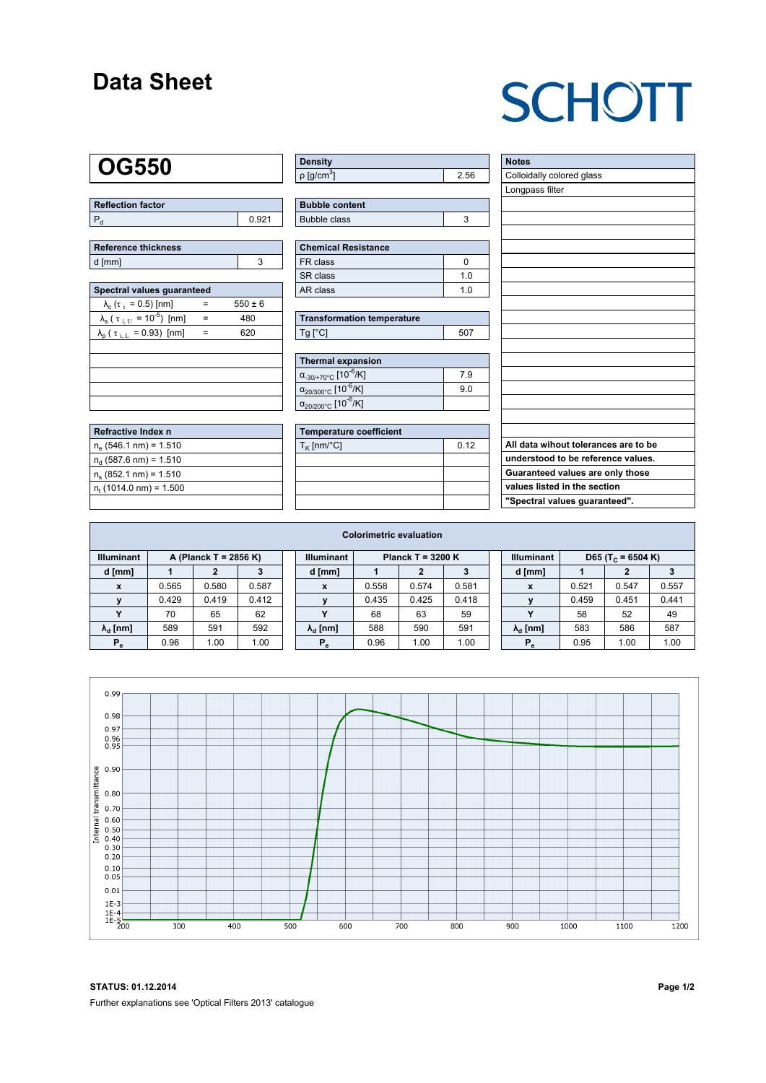### **Data Sheet**

# **SCHOTT**

### **OG550**

| Reflection factor |  |
|-------------------|--|
|                   |  |

| Reference thickness |  |  |  |  |  |  |  |
|---------------------|--|--|--|--|--|--|--|
| d [mm]              |  |  |  |  |  |  |  |

| Spectral values quaranteed                                     |     |             |  |  |  |  |  |  |  |
|----------------------------------------------------------------|-----|-------------|--|--|--|--|--|--|--|
| $\lambda_c$ ( $\tau_i$ = 0.5) [nm]                             |     | $550 \pm 6$ |  |  |  |  |  |  |  |
| $\lambda_{\rm s}$ ( $\tau_{\rm i,U}$ = 10 <sup>-5</sup> ) [nm] | $=$ | 480         |  |  |  |  |  |  |  |
| $\lambda_{\rm p}$ ( $\tau_{\rm i, L}$ = 0.93) [nm]             |     | 620         |  |  |  |  |  |  |  |
|                                                                |     |             |  |  |  |  |  |  |  |
|                                                                |     |             |  |  |  |  |  |  |  |
|                                                                |     |             |  |  |  |  |  |  |  |
|                                                                |     |             |  |  |  |  |  |  |  |
|                                                                |     |             |  |  |  |  |  |  |  |

| Refractive Index n          |  |
|-----------------------------|--|
| $n_e$ (546.1 nm) = 1.510    |  |
| $n_d$ (587.6 nm) = 1.510    |  |
| $n_s$ (852.1 nm) = 1.510    |  |
| $n_{t}$ (1014.0 nm) = 1.500 |  |
|                             |  |

| Density                 |  |
|-------------------------|--|
| │ρ [g/cm <sup>ა</sup> ] |  |

| <b>Bubble content</b> |  |
|-----------------------|--|
| Bubble class          |  |

| <b>Chemical Resistance</b> |     |  |  |  |  |  |
|----------------------------|-----|--|--|--|--|--|
| FR class                   |     |  |  |  |  |  |
| l SR class                 | 1 በ |  |  |  |  |  |
| l AR class                 | 1 በ |  |  |  |  |  |

| <b>Transformation temperature</b> |     |  |  |  |  |  |
|-----------------------------------|-----|--|--|--|--|--|
| $Ta$ $C1$                         | 507 |  |  |  |  |  |

| Thermal expansion                                 |     |  |  |  |  |  |  |
|---------------------------------------------------|-----|--|--|--|--|--|--|
| $\alpha_{-30/+70\degree}$ c [10 <sup>-6</sup> /K] | 7.9 |  |  |  |  |  |  |
| $\alpha_{20/300^{\circ}C}$ [10 <sup>-6</sup> /K]  | 9.0 |  |  |  |  |  |  |
| $\alpha_{20/200^{\circ}C}$ [10 <sup>-6</sup> /K]  |     |  |  |  |  |  |  |

| Temperature coefficient     |  |  |  |  |  |  |  |
|-----------------------------|--|--|--|--|--|--|--|
| $T_{\rm K}$ [nm/°C]<br>0.12 |  |  |  |  |  |  |  |
|                             |  |  |  |  |  |  |  |
|                             |  |  |  |  |  |  |  |
|                             |  |  |  |  |  |  |  |
|                             |  |  |  |  |  |  |  |

| <b>Notes</b>                         |
|--------------------------------------|
| Colloidally colored glass            |
| Longpass filter                      |
|                                      |
|                                      |
|                                      |
|                                      |
|                                      |
|                                      |
|                                      |
|                                      |
|                                      |
|                                      |
|                                      |
|                                      |
|                                      |
|                                      |
|                                      |
|                                      |
|                                      |
| All data wihout tolerances are to be |
| understood to be reference values.   |
| Guaranteed values are only those     |
| values listed in the section         |
| "Spectral values guaranteed".        |

| <b>Colorimetric evaluation</b>             |       |       |       |                                          |                        |       |       |       |                   |                        |                               |       |       |
|--------------------------------------------|-------|-------|-------|------------------------------------------|------------------------|-------|-------|-------|-------------------|------------------------|-------------------------------|-------|-------|
| <b>Illuminant</b><br>A (Planck T = 2856 K) |       |       |       | <b>Illuminant</b><br>Planck T = $3200 K$ |                        |       |       |       | <b>Illuminant</b> |                        | D65 (T <sub>c</sub> = 6504 K) |       |       |
| d [mm]                                     |       |       |       |                                          | d [mm]                 |       |       |       |                   | d [mm]                 |                               | 2     |       |
| X                                          | 0.565 | 0.580 | 0.587 |                                          | X                      | 0.558 | 0.574 | 0.581 |                   | X                      | 0.521                         | 0.547 | 0.557 |
|                                            | 0.429 | 0.419 | 0.412 |                                          |                        | 0.435 | 0.425 | 0.418 |                   |                        | 0.459                         | 0.451 | 0.441 |
|                                            | 70    | 65    | 62    |                                          | v                      | 68    | 63    | 59    |                   | $\checkmark$           | 58                            | 52    | 49    |
| $\lambda_{\rm d}$ [nm]                     | 589   | 591   | 592   |                                          | $\lambda_{\rm d}$ [nm] | 588   | 590   | 591   |                   | $\lambda_{\rm d}$ [nm] | 583                           | 586   | 587   |
| $P_e$                                      | 0.96  | 1.00  | 1.00  |                                          | $P_e$                  | 0.96  | 1.00  | 1.00  |                   | $P_e$                  | 0.95                          | 1.00  | 1.00  |



**STATUS: 01.12.2014 Page 1/2** Further explanations see 'Optical Filters 2013' catalogue